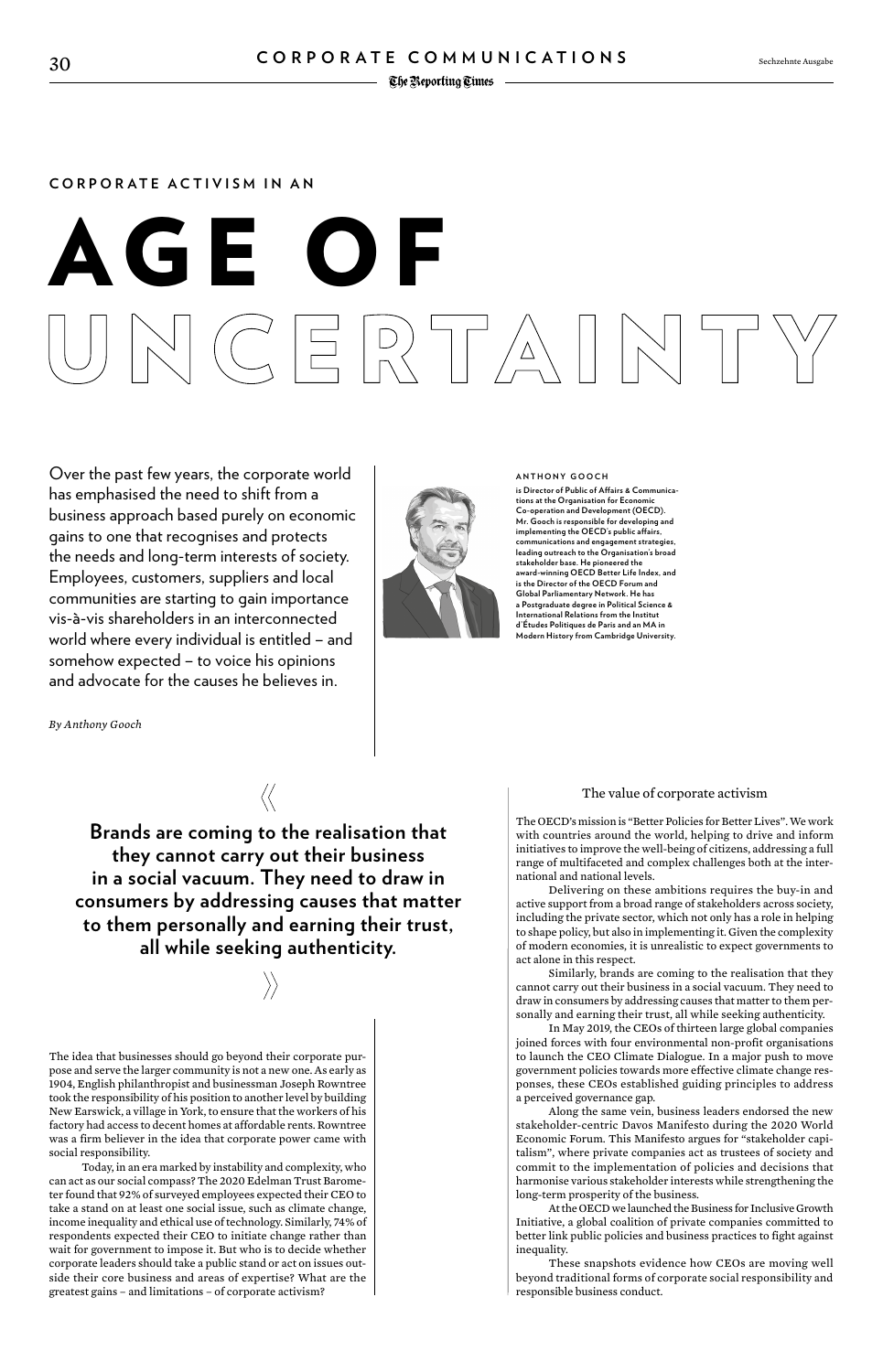#### **CORPORATE ACTIVISM IN AN**

# **GE**  $\Box$   $\Box$   $\Box$   $\Box$   $\Box$   $\Box$   $\Box$   $\Box$

#### **ANTHONY GOOCH**

**is Director of Public of Affairs & Communications at the Organisation for Economic Co-operation and Development (OECD). Mr. Gooch is responsible for developing and implementing the OECD's public affairs, communications and engagement strategies, leading outreach to the Organisation's broad stakeholder base. He pioneered the award-winning OECD Better Life Index, and is the Director of the OECD Forum and Global Parliamentary Network. He has a Postgraduate degree in Political Science & International Relations from the Institut d'Études Politiques de Paris and an MA in Modern History from Cambridge University.**

Over the past few years, the corporate world has emphasised the need to shift from a business approach based purely on economic gains to one that recognises and protects the needs and long-term interests of society. Employees, customers, suppliers and local communities are starting to gain importance vis-à-vis shareholders in an interconnected world where every individual is entitled – and somehow expected – to voice his opinions and advocate for the causes he believes in.

*By Anthony Gooch*



The idea that businesses should go beyond their corporate purpose and serve the larger community is not a new one. As early as 1904, English philanthropist and businessman Joseph Rowntree took the responsibility of his position to another level by building New Earswick, a village in York, to ensure that the workers of his factory had access to decent homes at affordable rents. Rowntree was a firm believer in the idea that corporate power came with social responsibility.

Today, in an era marked by instability and complexity, who can act as our social compass? The 2020 Edelman Trust Barometer found that 92% of surveyed employees expected their CEO to take a stand on at least one social issue, such as climate change, income inequality and ethical use of technology. Similarly, 74% of respondents expected their CEO to initiate change rather than wait for government to impose it. But who is to decide whether corporate leaders should take a public stand or act on issues outside their core business and areas of expertise? What are the greatest gains – and limitations – of corporate activism?

#### The value of corporate activism

The OECD's mission is "Better Policies for Better Lives". We work with countries around the world, helping to drive and inform initiatives to improve the well-being of citizens, addressing a full range of multifaceted and complex challenges both at the international and national levels.

Delivering on these ambitions requires the buy-in and active support from a broad range of stakeholders across society, including the private sector, which not only has a role in helping to shape policy, but also in implementing it. Given the complexity of modern economies, it is unrealistic to expect governments to act alone in this respect.

Similarly, brands are coming to the realisation that they cannot carry out their business in a social vacuum. They need to draw in consumers by addressing causes that matter to them personally and earning their trust, all while seeking authenticity.

In May 2019, the CEOs of thirteen large global companies

joined forces with four environmental non-profit organisations to launch the CEO Climate Dialogue. In a major push to move government policies towards more effective climate change responses, these CEOs established guiding principles to address a perceived governance gap.

Along the same vein, business leaders endorsed the new stakeholder-centric Davos Manifesto during the 2020 World Economic Forum. This Manifesto argues for "stakeholder capitalism", where private companies act as trustees of society and commit to the implementation of policies and decisions that harmonise various stakeholder interests while strengthening the long-term prosperity of the business.

At the OECD we launched the Business for Inclusive Growth Initiative, a global coalition of private companies committed to better link public policies and business practices to fight against inequality.

These snapshots evidence how CEOs are moving well beyond traditional forms of corporate social responsibility and responsible business conduct.

**Brands are coming to the realisation that they cannot carry out their business in a social vacuum. They need to draw in consumers by addressing causes that matter to them personally and earning their trust, all while seeking authenticity.**

 $\langle\langle$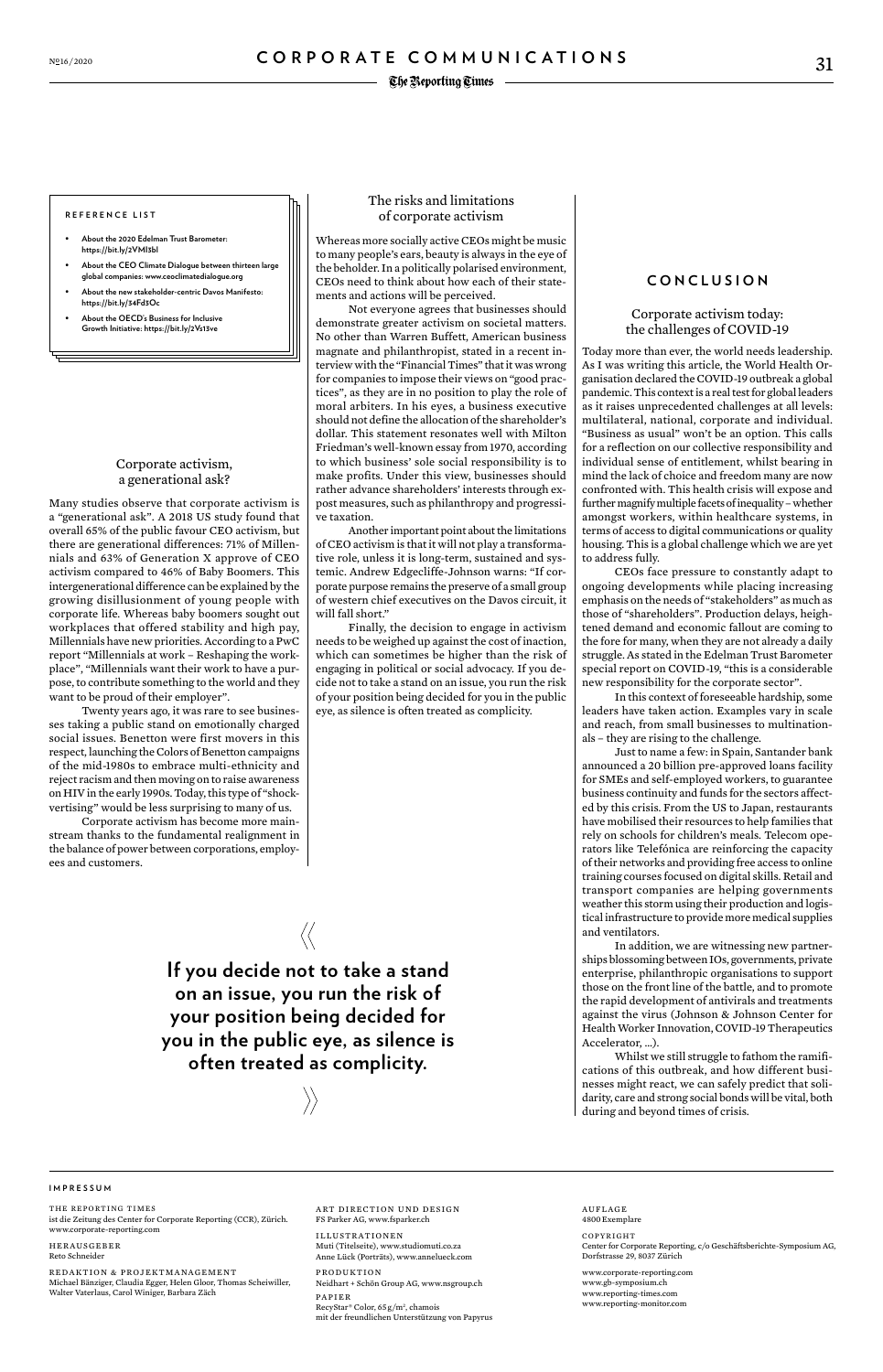#### **REFERENCE LIST**

- **• About the 2020 Edelman Trust Barometer: [https://bit.ly/2VMI3bl](https://www.edelman.com/sites/g/files/aatuss191/files/2020-01/2020%20Edelman%20Trust%20Barometer%20Global%20Report.pdf)**
- **• About the CEO Climate Dialogue between thirteen large global companies: [www.ceoclimatedialogue.org](https://www.ceoclimatedialogue.org/)**
- **• About the new stakeholder-centric Davos Manifesto: [https://bit.ly/34Fd3Oc](https://www.weforum.org/agenda/2019/12/why-we-need-the-davos-manifesto-for-better-kind-of-capitalism/)**
- **• About the OECD's Business for Inclusive Growth Initiative: [https://bit.ly/2Vs13ve](https://www.oecd.org/inclusive-growth/businessforinclusivegrowth/)**

ART DIRECTION UND DESIGN FS Parker AG, www.fsparker.ch

ILLUSTRATIONEN Muti (Titelseite), www.studiomuti.co.za Anne Lück (Porträts), www.annelueck.com

PRODUKTION Neidhart + Schön Group AG, www.nsgroup.ch

PAPIER RecyStar® Color, 65 g/m2 , chamois mit der freundlichen Unterstützung von Papyrus

#### **IMPRESSUM**

THE REPORTING TIMES ist die Zeitung des Center for Corporate Reporting (CCR), Zürich. www.corporate-reporting.com

HERAUSGEBER Reto Schneider

REDAKTION & PROJEKTMANAGEMENT Michael Bänziger, Claudia Egger, Helen Gloor, Thomas Scheiwiller, Walter Vaterlaus, Carol Winiger, Barbara Zäch

AUFLAGE 4800Exemplare

#### COPYRIGHT

Center for Corporate Reporting, c/o Geschäftsberichte-Symposium AG, Dorfstrasse 29, 8037 Zürich

www.corporate-reporting.com www.gb-symposium.ch www.reporting-times.com www.reporting-monitor.com

#### Corporate activism, a generational ask?

Many studies observe that corporate activism is a "generational ask". A 2018 US study found that overall 65% of the public favour CEO activism, but there are generational differences: 71% of Millennials and 63% of Generation X approve of CEO activism compared to 46% of Baby Boomers. This intergenerational difference can be explained by the growing disillusionment of young people with corporate life. Whereas baby boomers sought out workplaces that offered stability and high pay, Millennials have new priorities. According to a PwC report "Millennials at work – Reshaping the workplace", "Millennials want their work to have a purpose, to contribute something to the world and they want to be proud of their employer".

Twenty years ago, it was rare to see businesses taking a public stand on emotionally charged social issues. Benetton were first movers in this respect, launching the Colors of Benetton campaigns of the mid-1980s to embrace multi-ethnicity and reject racism and then moving on to raise awareness on HIV in the early 1990s. Today, this type of "shockvertising" would be less surprising to many of us.

Corporate activism has become more mainstream thanks to the fundamental realignment in the balance of power between corporations, employees and customers.

#### The risks and limitations of corporate activism

Whereas more socially active CEOs might be music to many people's ears, beauty is always in the eye of the beholder. In a politically polarised environment, CEOs need to think about how each of their statements and actions will be perceived.

Not everyone agrees that businesses should demonstrate greater activism on societal matters. No other than Warren Buffett, American business magnate and philanthropist, stated in a recent interview with the "Financial Times" that it was wrong for companies to impose their views on "good practices", as they are in no position to play the role of moral arbiters. In his eyes, a business executive should not define the allocation of the shareholder's dollar. This statement resonates well with Milton Friedman's well-known essay from 1970, according to which business' sole social responsibility is to make profits. Under this view, businesses should rather advance shareholders' interests through expost measures, such as philanthropy and progressive taxation.

Another important point about the limitations of CEO activism is that it will not play a transformative role, unless it is long-term, sustained and systemic. Andrew Edgecliffe-Johnson warns: "If corporate purpose remains the preserve of a small group of western chief executives on the Davos circuit, it will fall short."

Finally, the decision to engage in activism needs to be weighed up against the cost of inaction, which can sometimes be higher than the risk of engaging in political or social advocacy. If you decide not to take a stand on an issue, you run the risk of your position being decided for you in the public eye, as silence is often treated as complicity.

#### **CONCLUSION**

#### Corporate activism today: the challenges of COVID-19

Today more than ever, the world needs leadership. As I was writing this article, the World Health Organisation declared the COVID-19 outbreak a global pandemic. This context is a real test for global leaders as it raises unprecedented challenges at all levels: multilateral, national, corporate and individual. "Business as usual" won't be an option. This calls for a reflection on our collective responsibility and individual sense of entitlement, whilst bearing in mind the lack of choice and freedom many are now confronted with. This health crisis will expose and further magnify multiple facets of inequality – whether amongst workers, within healthcare systems, in terms of access to digital communications or quality housing. This is a global challenge which we are yet to address fully.

CEOs face pressure to constantly adapt to ongoing developments while placing increasing emphasis on the needs of "stakeholders" as much as those of "shareholders". Production delays, heightened demand and economic fallout are coming to the fore for many, when they are not already a daily struggle. As stated in the Edelman Trust Barometer special report on COVID-19, "this is a considerable new responsibility for the corporate sector".

In this context of foreseeable hardship, some leaders have taken action. Examples vary in scale and reach, from small businesses to multinationals – they are rising to the challenge.

Just to name a few: in Spain, Santander bank announced a 20 billion pre-approved loans facility for SMEs and self-employed workers, to guarantee business continuity and funds for the sectors affected by this crisis. From the US to Japan, restaurants have mobilised their resources to help families that rely on schools for children's meals. Telecom operators like Telefónica are reinforcing the capacity of their networks and providing free access to online training courses focused on digital skills. Retail and transport companies are helping governments weather this storm using their production and logistical infrastructure to provide more medical supplies and ventilators.

In addition, we are witnessing new partnerships blossoming between IOs, governments, private enterprise, philanthropic organisations to support those on the front line of the battle, and to promote the rapid development of antivirals and treatments against the virus (Johnson & Johnson Center for Health Worker Innovation, COVID-19 Therapeutics

#### Accelerator, …).

Whilst we still struggle to fathom the ramifications of this outbreak, and how different businesses might react, we can safely predict that solidarity, care and strong social bonds will be vital, both during and beyond times of crisis.

**If you decide not to take a stand on an issue, you run the risk of your position being decided for** 

 $\langle\langle$ 

### **you in the public eye, as silence is often treated as complicity.**